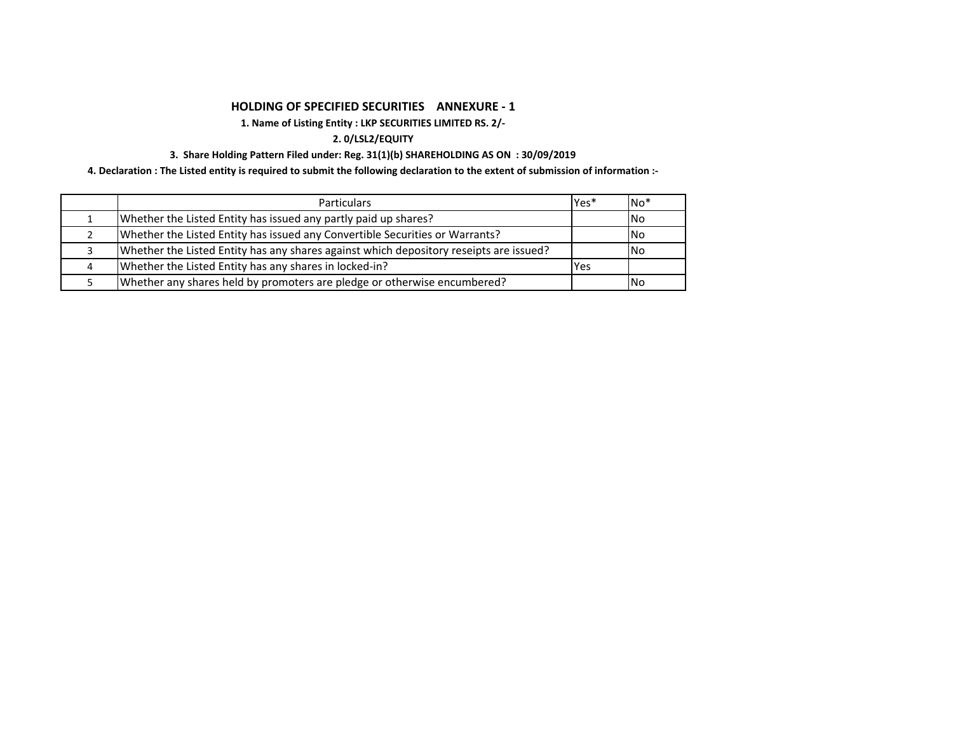# **HOLDING OF SPECIFIED SECURITIES ANNEXURE ‐ 1**

# **1. Name of Listing Entity : LKP SECURITIES LIMITED RS. 2/‐**

## **2. 0/LSL2/EQUITY**

## **3. Share Holding Pattern Filed under: Reg. 31(1)(b) SHAREHOLDING AS ON : 30/09/2019**

4. Declaration : The Listed entity is required to submit the following declaration to the extent of submission of information :-

| <b>Particulars</b>                                                                     | Yes*       | $No*$      |
|----------------------------------------------------------------------------------------|------------|------------|
| Whether the Listed Entity has issued any partly paid up shares?                        |            | <b>INo</b> |
| Whether the Listed Entity has issued any Convertible Securities or Warrants?           |            | INo        |
| Whether the Listed Entity has any shares against which depository reseipts are issued? |            | INo.       |
| Whether the Listed Entity has any shares in locked-in?                                 | <b>Yes</b> |            |
| Whether any shares held by promoters are pledge or otherwise encumbered?               |            | <b>INo</b> |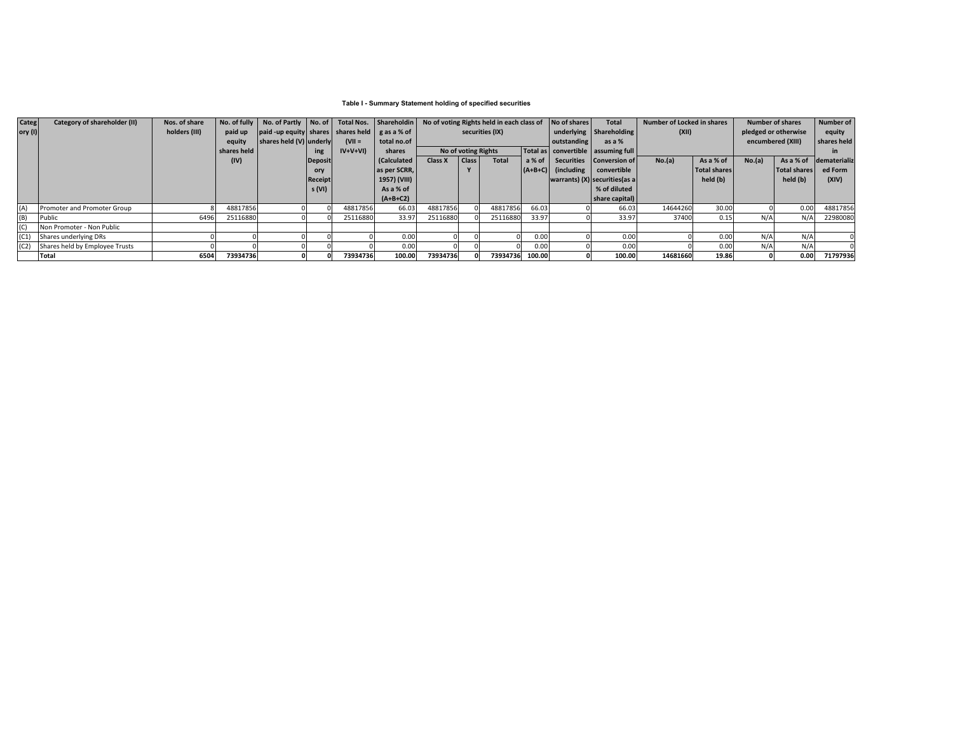### **Table I - Summary Statement holding of specified securities**

| <b>Categ</b> | Category of shareholder (II)   | Nos. of share | No. of fully | No. of Partly No. of                                   |                |           | Total Nos. Shareholdin | No of voting Rights held in each class of |                 | No of shares | <b>Total</b>                           | Number of Locked in shares |                                  | <b>Number of shares</b> |                     | Number of            |              |                   |             |
|--------------|--------------------------------|---------------|--------------|--------------------------------------------------------|----------------|-----------|------------------------|-------------------------------------------|-----------------|--------------|----------------------------------------|----------------------------|----------------------------------|-------------------------|---------------------|----------------------|--------------|-------------------|-------------|
| ory (I)      |                                | holders (III) | paid up      | $ $ paid -up equity shares shares held $ $ g as a % of |                |           |                        |                                           | securities (IX) |              |                                        |                            | underlying Shareholding          | (XII)                   |                     | pledged or otherwise |              | equity            |             |
|              |                                |               | equity       | shares held (V) underly                                |                | $(VII =$  | total no.of            |                                           |                 |              | outstanding                            | as a %                     |                                  |                         |                     |                      |              | encumbered (XIII) | shares held |
|              |                                |               | shares held  |                                                        | ing            | $IV+V+VI$ | shares                 | No of voting Rights                       |                 |              | Total as   convertible   assuming full |                            |                                  |                         |                     | in.                  |              |                   |             |
|              |                                |               | (IV)         |                                                        | <b>Deposit</b> |           | (Calculated            | Class X                                   | <b>Class</b>    | <b>Total</b> | a% of                                  |                            | Securities Conversion of         | No.(a)                  | As a % of           | No.(a)               | As a % of    | dematerializ      |             |
|              |                                |               |              |                                                        | ory            |           | as per SCRR,           |                                           |                 |              |                                        | $(A+B+C)$ (including       | convertible                      |                         | <b>Total shares</b> |                      | Total shares | ed Form           |             |
|              |                                |               |              |                                                        | Receipt        |           | 1957) (VIII)           |                                           |                 |              |                                        |                            | warrants) $(X)$ securities (as a |                         | held (b)            |                      | held (b)     | (XIV)             |             |
|              |                                |               |              |                                                        | s (VI)         |           | As a % of              |                                           |                 |              |                                        |                            | % of diluted                     |                         |                     |                      |              |                   |             |
|              |                                |               |              |                                                        |                |           | $(A+B+C2)$             |                                           |                 |              |                                        |                            | share capital)                   |                         |                     |                      |              |                   |             |
|              | Promoter and Promoter Group    |               | 48817856     |                                                        |                | 48817856  | 66.03                  | 48817856                                  |                 | 48817856     | 66.03                                  |                            | 66.03                            | 14644260                | 30.00               |                      | 0.00         | 48817856          |             |
|              | Public                         | 6496          | 25116880     |                                                        |                | 25116880  | 33.97                  | 25116880                                  |                 | 25116880     | 33.97                                  |                            | 33.97                            | 37400                   | 0.15                | N/A                  | N/A          | 22980080          |             |
|              | Non Promoter - Non Public      |               |              |                                                        |                |           |                        |                                           |                 |              |                                        |                            |                                  |                         |                     |                      |              |                   |             |
|              | Shares underlying DRs          |               |              |                                                        |                |           | 0.00                   |                                           |                 |              | 0.00                                   |                            | 0.00                             |                         | 0.00                | N/A                  | N/A          |                   |             |
|              | Shares held by Employee Trusts |               |              |                                                        |                |           | 0.00                   |                                           |                 |              | 0.00                                   |                            | 0.0                              |                         | 0.00                | N/A                  | N/A          |                   |             |
|              | Total                          | 6504          | 73934736     |                                                        |                | 73934736  | 100.00                 | 73934736                                  |                 | 73934736     | 100.00                                 |                            | 100.00                           | 14681660                | 19.86               |                      | 0.00         | 71797936          |             |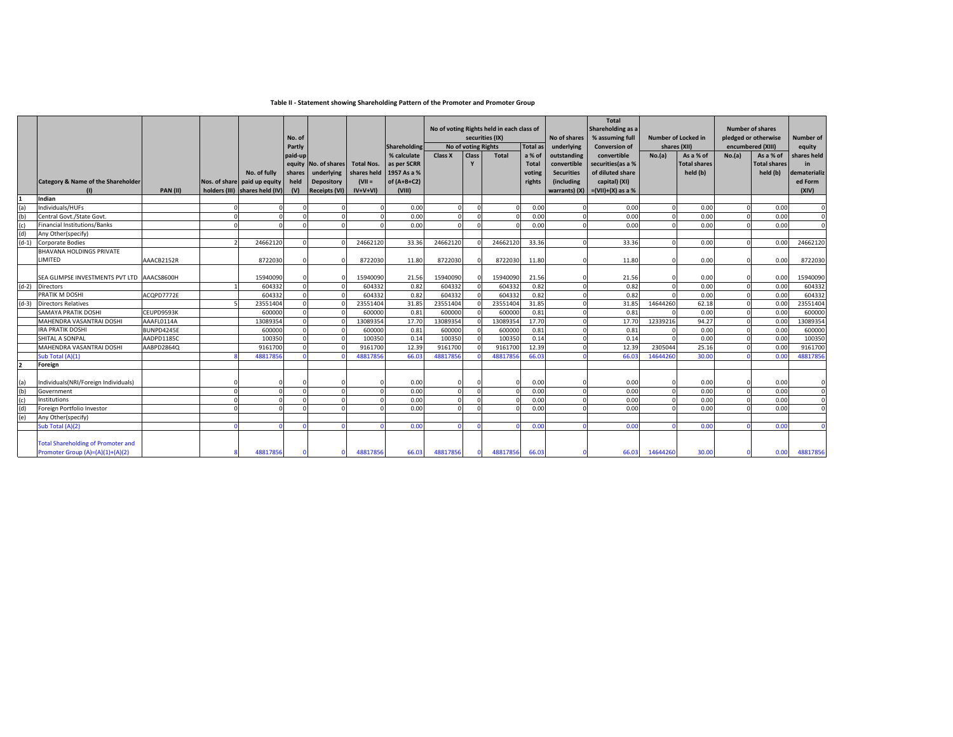### **Table II ‐ Statement showing Shareholding Pattern of the Promoter and Promoter Group**

| % calculate<br>Class X<br>Total<br>paid-up<br>Class<br>a % of<br>outstanding<br>No. of shares<br>as per SCRR<br>Y<br>convertible<br>equity<br><b>Total Nos.</b><br><b>Total</b><br>1957 As a %<br>No. of fully<br>underlying<br>shares held<br><b>Securities</b><br>shares<br>voting<br>of $(A+B+C2)$<br><b>Category &amp; Name of the Shareholder</b><br>held<br>Depository<br>$(VII =$<br>(including<br>Nos. of share paid up equity<br>rights<br>holders (III) shares held (IV)<br>warrants) $(X) = (VII)+(X)$ as a %<br><b>PAN (II)</b><br>(V)<br><b>Receipts (VI)</b><br>$IV+V+VI$<br>(VIII)<br>(1)<br>Indian<br>(a)<br>Individuals/HUFs<br>0.00<br>0.00<br>(b)<br>0.00<br>Central Govt./State Govt.<br>0.00<br>(c)<br><b>Financial Institutions/Banks</b><br>0.00<br>0.00<br>(d)<br>Any Other(specify)<br>$(d-1)$<br>24662120<br>24662120<br>33.36<br>2466212<br>24662120<br>33.36<br><b>Corporate Bodies</b><br>BHAVANA HOLDINGS PRIVATE<br>LIMITED<br>AAACB2152R<br>8722030<br>8722030<br>11.80<br>8722030<br>8722030<br>11.80<br>15940090<br>21.56<br>15940090<br>15940090<br>SEA GLIMPSE INVESTMENTS PVT LTD AAACS8600H<br>15940090<br>21.56<br>$(d-2)$<br>0.82<br>0.82<br>604332<br>604332<br>604332<br><b>Directors</b><br>604332<br>0.82<br>604332<br>604332<br>0.82<br>PRATIK M DOSHI<br>ACQPD7772E<br>604332<br>604332<br>$(d-3)$<br>23551404<br>31.85<br>23551404<br>31.85<br>23551404<br>23551404<br><b>Directors Relatives</b><br>0.81<br>600000<br>600000<br>600000<br>0.81<br>SAMAYA PRATIK DOSHI<br>CEUPD9593K<br>600000<br>17.70<br>13089354<br>17.70<br>MAHENDRA VASANTRAI DOSHI<br>AAAFL0114A<br>13089354<br>13089354<br>1308935<br><b>IRA PRATIK DOSHI</b><br>BUNPD4245E<br>0.81<br>600000<br>600000<br>600000<br>600000<br>0.81<br>100350<br>SHITAL A SONPAL<br>100350<br>100350<br>0.14<br>100350<br>0.14<br>AADPD1185C<br>12.39<br>12.39<br><b>MAHENDRA VASANTRAI DOSHI</b><br>AABPD2864Q<br>9161700<br>9161700<br>9161700<br>916170<br>Sub Total (A)(1)<br>4881785<br>48817856<br>66.0<br>48817856<br>4881785<br>66.03<br>Foreign<br>Individuals(NRI/Foreign Individuals)<br>(a)<br>0.00<br>0.00<br>(b)<br>0.00<br>0.00<br>Government | No.(a)<br>0.00<br>0.00<br>0.00<br>33.36 | convertible<br>securities (as a %<br>of diluted share<br>capital) (XI) | As a % of<br><b>Total shares</b><br>held (b)<br>0.00<br>0.00 | No.(a)<br>As a % of<br><b>Total shares</b><br>held (b)<br>0.00<br>0.00 | shares held<br>in<br>dematerializ<br>ed Form<br>(XIV)<br>$\mathbf 0$ |
|--------------------------------------------------------------------------------------------------------------------------------------------------------------------------------------------------------------------------------------------------------------------------------------------------------------------------------------------------------------------------------------------------------------------------------------------------------------------------------------------------------------------------------------------------------------------------------------------------------------------------------------------------------------------------------------------------------------------------------------------------------------------------------------------------------------------------------------------------------------------------------------------------------------------------------------------------------------------------------------------------------------------------------------------------------------------------------------------------------------------------------------------------------------------------------------------------------------------------------------------------------------------------------------------------------------------------------------------------------------------------------------------------------------------------------------------------------------------------------------------------------------------------------------------------------------------------------------------------------------------------------------------------------------------------------------------------------------------------------------------------------------------------------------------------------------------------------------------------------------------------------------------------------------------------------------------------------------------------------------------------------------------------------------------------------------------------------------------------------------------------------------------------------------------|-----------------------------------------|------------------------------------------------------------------------|--------------------------------------------------------------|------------------------------------------------------------------------|----------------------------------------------------------------------|
|                                                                                                                                                                                                                                                                                                                                                                                                                                                                                                                                                                                                                                                                                                                                                                                                                                                                                                                                                                                                                                                                                                                                                                                                                                                                                                                                                                                                                                                                                                                                                                                                                                                                                                                                                                                                                                                                                                                                                                                                                                                                                                                                                                    |                                         |                                                                        |                                                              |                                                                        |                                                                      |
|                                                                                                                                                                                                                                                                                                                                                                                                                                                                                                                                                                                                                                                                                                                                                                                                                                                                                                                                                                                                                                                                                                                                                                                                                                                                                                                                                                                                                                                                                                                                                                                                                                                                                                                                                                                                                                                                                                                                                                                                                                                                                                                                                                    |                                         |                                                                        |                                                              |                                                                        |                                                                      |
|                                                                                                                                                                                                                                                                                                                                                                                                                                                                                                                                                                                                                                                                                                                                                                                                                                                                                                                                                                                                                                                                                                                                                                                                                                                                                                                                                                                                                                                                                                                                                                                                                                                                                                                                                                                                                                                                                                                                                                                                                                                                                                                                                                    |                                         |                                                                        |                                                              |                                                                        |                                                                      |
|                                                                                                                                                                                                                                                                                                                                                                                                                                                                                                                                                                                                                                                                                                                                                                                                                                                                                                                                                                                                                                                                                                                                                                                                                                                                                                                                                                                                                                                                                                                                                                                                                                                                                                                                                                                                                                                                                                                                                                                                                                                                                                                                                                    |                                         |                                                                        |                                                              |                                                                        |                                                                      |
|                                                                                                                                                                                                                                                                                                                                                                                                                                                                                                                                                                                                                                                                                                                                                                                                                                                                                                                                                                                                                                                                                                                                                                                                                                                                                                                                                                                                                                                                                                                                                                                                                                                                                                                                                                                                                                                                                                                                                                                                                                                                                                                                                                    |                                         |                                                                        |                                                              | 0.00                                                                   | $\mathbf 0$<br>$\Omega$                                              |
|                                                                                                                                                                                                                                                                                                                                                                                                                                                                                                                                                                                                                                                                                                                                                                                                                                                                                                                                                                                                                                                                                                                                                                                                                                                                                                                                                                                                                                                                                                                                                                                                                                                                                                                                                                                                                                                                                                                                                                                                                                                                                                                                                                    |                                         |                                                                        | 0.00                                                         |                                                                        |                                                                      |
|                                                                                                                                                                                                                                                                                                                                                                                                                                                                                                                                                                                                                                                                                                                                                                                                                                                                                                                                                                                                                                                                                                                                                                                                                                                                                                                                                                                                                                                                                                                                                                                                                                                                                                                                                                                                                                                                                                                                                                                                                                                                                                                                                                    |                                         |                                                                        | 0.00                                                         | 0.00                                                                   | 24662120                                                             |
|                                                                                                                                                                                                                                                                                                                                                                                                                                                                                                                                                                                                                                                                                                                                                                                                                                                                                                                                                                                                                                                                                                                                                                                                                                                                                                                                                                                                                                                                                                                                                                                                                                                                                                                                                                                                                                                                                                                                                                                                                                                                                                                                                                    |                                         |                                                                        |                                                              |                                                                        |                                                                      |
|                                                                                                                                                                                                                                                                                                                                                                                                                                                                                                                                                                                                                                                                                                                                                                                                                                                                                                                                                                                                                                                                                                                                                                                                                                                                                                                                                                                                                                                                                                                                                                                                                                                                                                                                                                                                                                                                                                                                                                                                                                                                                                                                                                    | 11.80                                   |                                                                        | 0.00                                                         | 0.00<br>$\Omega$                                                       | 8722030                                                              |
|                                                                                                                                                                                                                                                                                                                                                                                                                                                                                                                                                                                                                                                                                                                                                                                                                                                                                                                                                                                                                                                                                                                                                                                                                                                                                                                                                                                                                                                                                                                                                                                                                                                                                                                                                                                                                                                                                                                                                                                                                                                                                                                                                                    |                                         |                                                                        |                                                              |                                                                        |                                                                      |
|                                                                                                                                                                                                                                                                                                                                                                                                                                                                                                                                                                                                                                                                                                                                                                                                                                                                                                                                                                                                                                                                                                                                                                                                                                                                                                                                                                                                                                                                                                                                                                                                                                                                                                                                                                                                                                                                                                                                                                                                                                                                                                                                                                    | 21.56                                   |                                                                        | 0.00                                                         | 0.00                                                                   | 15940090                                                             |
|                                                                                                                                                                                                                                                                                                                                                                                                                                                                                                                                                                                                                                                                                                                                                                                                                                                                                                                                                                                                                                                                                                                                                                                                                                                                                                                                                                                                                                                                                                                                                                                                                                                                                                                                                                                                                                                                                                                                                                                                                                                                                                                                                                    | 0.82<br>£                               |                                                                        | 0.00                                                         | 0.00                                                                   | 604332                                                               |
|                                                                                                                                                                                                                                                                                                                                                                                                                                                                                                                                                                                                                                                                                                                                                                                                                                                                                                                                                                                                                                                                                                                                                                                                                                                                                                                                                                                                                                                                                                                                                                                                                                                                                                                                                                                                                                                                                                                                                                                                                                                                                                                                                                    | 0.82                                    |                                                                        | 0.00                                                         | 0.00                                                                   | 604332                                                               |
|                                                                                                                                                                                                                                                                                                                                                                                                                                                                                                                                                                                                                                                                                                                                                                                                                                                                                                                                                                                                                                                                                                                                                                                                                                                                                                                                                                                                                                                                                                                                                                                                                                                                                                                                                                                                                                                                                                                                                                                                                                                                                                                                                                    | 31.85<br>14644260                       |                                                                        | 62.18                                                        | 0.00                                                                   | 23551404                                                             |
|                                                                                                                                                                                                                                                                                                                                                                                                                                                                                                                                                                                                                                                                                                                                                                                                                                                                                                                                                                                                                                                                                                                                                                                                                                                                                                                                                                                                                                                                                                                                                                                                                                                                                                                                                                                                                                                                                                                                                                                                                                                                                                                                                                    | 0.81                                    |                                                                        | 0.00                                                         | 0.00                                                                   | 600000                                                               |
|                                                                                                                                                                                                                                                                                                                                                                                                                                                                                                                                                                                                                                                                                                                                                                                                                                                                                                                                                                                                                                                                                                                                                                                                                                                                                                                                                                                                                                                                                                                                                                                                                                                                                                                                                                                                                                                                                                                                                                                                                                                                                                                                                                    | 17.70<br>12339216                       |                                                                        | 94.27                                                        | 0.00                                                                   | 13089354                                                             |
|                                                                                                                                                                                                                                                                                                                                                                                                                                                                                                                                                                                                                                                                                                                                                                                                                                                                                                                                                                                                                                                                                                                                                                                                                                                                                                                                                                                                                                                                                                                                                                                                                                                                                                                                                                                                                                                                                                                                                                                                                                                                                                                                                                    | 0.81                                    |                                                                        | 0.00                                                         | 0.00                                                                   | 600000                                                               |
|                                                                                                                                                                                                                                                                                                                                                                                                                                                                                                                                                                                                                                                                                                                                                                                                                                                                                                                                                                                                                                                                                                                                                                                                                                                                                                                                                                                                                                                                                                                                                                                                                                                                                                                                                                                                                                                                                                                                                                                                                                                                                                                                                                    | 0.14                                    |                                                                        | 0.00                                                         | 0.00                                                                   | 100350                                                               |
|                                                                                                                                                                                                                                                                                                                                                                                                                                                                                                                                                                                                                                                                                                                                                                                                                                                                                                                                                                                                                                                                                                                                                                                                                                                                                                                                                                                                                                                                                                                                                                                                                                                                                                                                                                                                                                                                                                                                                                                                                                                                                                                                                                    | 12.39<br>2305044                        |                                                                        | 25.16                                                        | 0.00                                                                   | 9161700                                                              |
|                                                                                                                                                                                                                                                                                                                                                                                                                                                                                                                                                                                                                                                                                                                                                                                                                                                                                                                                                                                                                                                                                                                                                                                                                                                                                                                                                                                                                                                                                                                                                                                                                                                                                                                                                                                                                                                                                                                                                                                                                                                                                                                                                                    | 14644260<br>66.03                       |                                                                        | 30.00                                                        | 0.00                                                                   | 48817856                                                             |
|                                                                                                                                                                                                                                                                                                                                                                                                                                                                                                                                                                                                                                                                                                                                                                                                                                                                                                                                                                                                                                                                                                                                                                                                                                                                                                                                                                                                                                                                                                                                                                                                                                                                                                                                                                                                                                                                                                                                                                                                                                                                                                                                                                    |                                         |                                                                        |                                                              |                                                                        |                                                                      |
|                                                                                                                                                                                                                                                                                                                                                                                                                                                                                                                                                                                                                                                                                                                                                                                                                                                                                                                                                                                                                                                                                                                                                                                                                                                                                                                                                                                                                                                                                                                                                                                                                                                                                                                                                                                                                                                                                                                                                                                                                                                                                                                                                                    |                                         |                                                                        |                                                              |                                                                        |                                                                      |
|                                                                                                                                                                                                                                                                                                                                                                                                                                                                                                                                                                                                                                                                                                                                                                                                                                                                                                                                                                                                                                                                                                                                                                                                                                                                                                                                                                                                                                                                                                                                                                                                                                                                                                                                                                                                                                                                                                                                                                                                                                                                                                                                                                    | 0.00                                    |                                                                        | 0.00                                                         | 0.00                                                                   |                                                                      |
|                                                                                                                                                                                                                                                                                                                                                                                                                                                                                                                                                                                                                                                                                                                                                                                                                                                                                                                                                                                                                                                                                                                                                                                                                                                                                                                                                                                                                                                                                                                                                                                                                                                                                                                                                                                                                                                                                                                                                                                                                                                                                                                                                                    | 0.00                                    |                                                                        | 0.00                                                         | 0.00                                                                   | $\Omega$                                                             |
| (c)<br>0.00<br>0.00<br>Institutions                                                                                                                                                                                                                                                                                                                                                                                                                                                                                                                                                                                                                                                                                                                                                                                                                                                                                                                                                                                                                                                                                                                                                                                                                                                                                                                                                                                                                                                                                                                                                                                                                                                                                                                                                                                                                                                                                                                                                                                                                                                                                                                                |                                         | 0.00                                                                   | 0.00                                                         | 0.00                                                                   | $\Omega$                                                             |
| (d)<br>0.00<br>0.00<br>Foreign Portfolio Investor                                                                                                                                                                                                                                                                                                                                                                                                                                                                                                                                                                                                                                                                                                                                                                                                                                                                                                                                                                                                                                                                                                                                                                                                                                                                                                                                                                                                                                                                                                                                                                                                                                                                                                                                                                                                                                                                                                                                                                                                                                                                                                                  |                                         |                                                                        | 0.00                                                         | 0.00                                                                   |                                                                      |
| (e)<br>Any Other(specify)                                                                                                                                                                                                                                                                                                                                                                                                                                                                                                                                                                                                                                                                                                                                                                                                                                                                                                                                                                                                                                                                                                                                                                                                                                                                                                                                                                                                                                                                                                                                                                                                                                                                                                                                                                                                                                                                                                                                                                                                                                                                                                                                          | 0.00                                    |                                                                        |                                                              |                                                                        |                                                                      |
| Sub Total (A)(2)<br>0.00<br>0.00                                                                                                                                                                                                                                                                                                                                                                                                                                                                                                                                                                                                                                                                                                                                                                                                                                                                                                                                                                                                                                                                                                                                                                                                                                                                                                                                                                                                                                                                                                                                                                                                                                                                                                                                                                                                                                                                                                                                                                                                                                                                                                                                   |                                         |                                                                        | 0.00                                                         | 0.00                                                                   |                                                                      |
| <b>Total Shareholding of Promoter and</b><br>Promoter Group (A)=(A)(1)+(A)(2)<br>48817856<br>48817856<br>48817856<br>66.03<br>48817856<br>66.03                                                                                                                                                                                                                                                                                                                                                                                                                                                                                                                                                                                                                                                                                                                                                                                                                                                                                                                                                                                                                                                                                                                                                                                                                                                                                                                                                                                                                                                                                                                                                                                                                                                                                                                                                                                                                                                                                                                                                                                                                    | 0.00                                    |                                                                        | 14644260<br>30.00                                            | 0.00                                                                   | 48817856                                                             |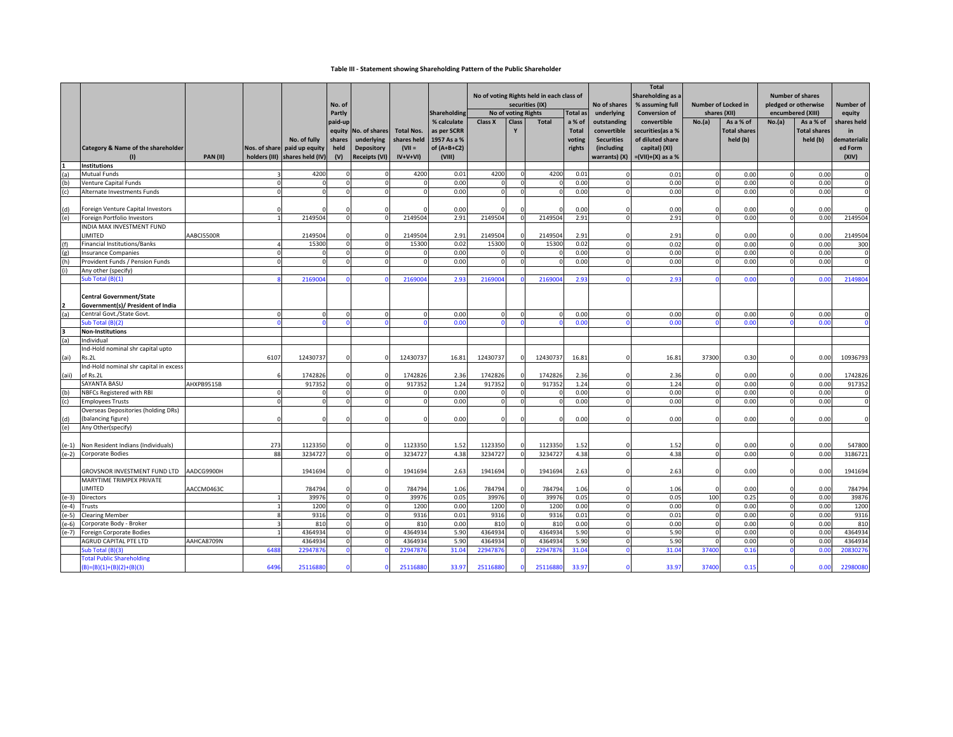#### **Table III ‐ Statement showing Shareholding Pattern of the Public Shareholder**

|         |                                                 |                 |          |                                              | No. of         |                                 |                                  |                            | No of voting Rights held in each class of<br>securities (IX)<br>No of voting Rights |          |              | No of shares    | <b>Total</b><br>Shareholding as a<br>% assuming full | <b>Number of Locked in</b><br>shares (XII) |                | <b>Number of shares</b><br>pledged or otherwise<br>encumbered (XIII) |          | Number of           |                         |
|---------|-------------------------------------------------|-----------------|----------|----------------------------------------------|----------------|---------------------------------|----------------------------------|----------------------------|-------------------------------------------------------------------------------------|----------|--------------|-----------------|------------------------------------------------------|--------------------------------------------|----------------|----------------------------------------------------------------------|----------|---------------------|-------------------------|
|         |                                                 |                 |          |                                              | Partly         |                                 |                                  | Shareholding               |                                                                                     |          |              | <b>Total as</b> | underlying                                           | <b>Conversion of</b>                       |                |                                                                      |          |                     | equity                  |
|         |                                                 |                 |          |                                              | paid-up        |                                 |                                  | % calculate                | Class X                                                                             | Class    | <b>Total</b> | a % of          | outstanding                                          | convertible                                | No.(a)         | As a % of                                                            | No.(a)   | As a % of           | shares held             |
|         |                                                 |                 |          |                                              | equity         | No. of shares                   | <b>Total Nos.</b><br>shares held | as per SCRR<br>1957 As a % |                                                                                     |          |              | <b>Total</b>    | convertible                                          | securities(as a %<br>of diluted share      |                | <b>Total shares</b>                                                  |          | <b>Total shares</b> | in                      |
|         | <b>Category &amp; Name of the shareholder</b>   |                 |          | No. of fully<br>Nos. of share paid up equity | shares<br>held | underlying<br><b>Depository</b> | $(VII =$                         | of $(A+B+C2)$              |                                                                                     |          |              | voting          | <b>Securities</b><br>(including                      | capital) (XI)                              |                | held (b)                                                             |          | held (b)            | dematerializ<br>ed Form |
|         | (1)                                             | <b>PAN (II)</b> |          | holders (III) shares held (IV)               | (V)            | <b>Receipts (VI)</b>            | $IV+V+VI$                        | (VIII)                     |                                                                                     |          |              | rights          | warrants) (X)                                        | $=(VII)+(X)$ as a %                        |                |                                                                      |          |                     | (XIV)                   |
|         | <b>Institutions</b>                             |                 |          |                                              |                |                                 |                                  |                            |                                                                                     |          |              |                 |                                                      |                                            |                |                                                                      |          |                     |                         |
| (a)     | <b>Mutual Funds</b>                             |                 |          | 4200                                         |                |                                 | 4200                             | 0.01                       | 4200                                                                                |          | 4200         | 0.01            |                                                      | 0.01                                       | $\Omega$       | 0.00                                                                 |          | 0.00                |                         |
| (b)     | <b>Venture Capital Funds</b>                    |                 | n        |                                              |                |                                 |                                  | 0.00                       |                                                                                     |          |              | 0.00            | $\Omega$                                             | 0.00                                       | $\mathbf 0$    | 0.00                                                                 |          | 0.00                | $\Omega$                |
|         | Alternate Investments Funds                     |                 |          |                                              |                |                                 |                                  | 0.00                       |                                                                                     |          |              | 0.00            |                                                      | 0.00                                       | $\Omega$       | 0.00                                                                 |          | 0.00                | $\Omega$                |
|         |                                                 |                 |          |                                              |                |                                 |                                  |                            |                                                                                     |          |              |                 |                                                      |                                            |                |                                                                      |          |                     |                         |
| (d)     | Foreign Venture Capital Investors               |                 |          |                                              |                |                                 |                                  | 0.00                       |                                                                                     |          |              | 0.00            |                                                      | 0.00                                       | $\Omega$       | 0.00                                                                 |          | 0.00                |                         |
| (e)     | Foreign Portfolio Investors                     |                 |          | 2149504                                      |                |                                 | 2149504                          | 2.91                       | 2149504                                                                             |          | 2149504      | 2.91            |                                                      | 2.91                                       | $\Omega$       | 0.00                                                                 |          | 0.00                | 2149504                 |
|         | <b>INDIA MAX INVESTMENT FUND</b>                |                 |          |                                              |                |                                 |                                  |                            |                                                                                     |          |              |                 |                                                      |                                            |                |                                                                      |          |                     |                         |
|         | LIMITED                                         | AABCI5500R      |          | 2149504                                      |                |                                 | 2149504                          | 2.91                       | 2149504                                                                             |          | 2149504      | 2.91            |                                                      | 2.91                                       | $\Omega$       | 0.00                                                                 |          | 0.00                | 2149504                 |
| (f)     | <b>Financial Institutions/Banks</b>             |                 |          | 15300                                        |                |                                 | 15300                            | 0.02                       | 15300                                                                               |          | 15300        | 0.02            |                                                      | 0.02                                       | $\Omega$       | 0.00                                                                 |          | 0.00                | 300                     |
| (g)     | <b>Insurance Companies</b>                      |                 | $\Omega$ |                                              | $\Omega$       |                                 |                                  | 0.00                       |                                                                                     |          |              | 0.00            | $\Omega$                                             | 0.00                                       | $\overline{0}$ | 0.00                                                                 |          | 0.00                | $\mathbf 0$             |
| (h)     | Provident Funds / Pension Funds                 |                 |          |                                              |                |                                 |                                  | 0.00                       |                                                                                     |          |              | 0.00            |                                                      | 0.00                                       |                | 0.00                                                                 |          | 0.00                |                         |
|         | Any other (specify)                             |                 |          |                                              |                |                                 |                                  |                            |                                                                                     |          |              |                 |                                                      |                                            |                |                                                                      |          |                     |                         |
|         | Sub Total (B)(1)                                |                 |          | 216900                                       |                |                                 | 216900                           | 2.93                       | 216900                                                                              |          | 216900       | 2.93            |                                                      | 2.93                                       |                | 0.0                                                                  |          | 0.00                | 2149804                 |
|         |                                                 |                 |          |                                              |                |                                 |                                  |                            |                                                                                     |          |              |                 |                                                      |                                            |                |                                                                      |          |                     |                         |
|         | <b>Central Government/State</b>                 |                 |          |                                              |                |                                 |                                  |                            |                                                                                     |          |              |                 |                                                      |                                            |                |                                                                      |          |                     |                         |
|         | Government(s)/ President of India               |                 |          |                                              |                |                                 |                                  |                            |                                                                                     |          |              |                 |                                                      |                                            |                |                                                                      |          |                     |                         |
| (a)     | Central Govt./State Govt.                       |                 | $\Omega$ |                                              |                |                                 |                                  | 0.00                       |                                                                                     |          |              | 0.00            | $\Omega$                                             | 0.00                                       | $\Omega$       | 0.00                                                                 |          | 0.00                |                         |
|         | Sub Total (B)(2)                                |                 |          |                                              |                |                                 |                                  | 0.00                       |                                                                                     |          |              | 0.00            |                                                      | 0.00                                       |                | 0.00                                                                 |          | 0.00                |                         |
| 3       | <b>Non-Institutions</b>                         |                 |          |                                              |                |                                 |                                  |                            |                                                                                     |          |              |                 |                                                      |                                            |                |                                                                      |          |                     |                         |
| (a)     | Individual                                      |                 |          |                                              |                |                                 |                                  |                            |                                                                                     |          |              |                 |                                                      |                                            |                |                                                                      |          |                     |                         |
|         | Ind-Hold nominal shr capital upto               |                 |          |                                              |                |                                 |                                  |                            |                                                                                     |          |              |                 |                                                      |                                            |                |                                                                      |          |                     |                         |
| (ai)    | Rs.2L<br>Ind-Hold nominal shr capital in excess |                 | 6107     | 12430737                                     |                |                                 | 12430737                         | 16.81                      | 12430737                                                                            |          | 12430737     | 16.81           |                                                      | 16.81                                      | 37300          | 0.30                                                                 |          | 0.00                | 10936793                |
|         | of Rs.2L                                        |                 |          | 1742826                                      |                |                                 | 1742826                          | 2.36                       | 1742826                                                                             |          | 1742826      | 2.36            | $\Omega$                                             | 2.36                                       | $\Omega$       | 0.00                                                                 |          | 0.00                | 1742826                 |
| (aii)   | SAYANTA BASU                                    | AHXPB9515B      |          | 917352                                       | $\Omega$       |                                 | 917352                           | 1.24                       | 917352                                                                              | $\Omega$ | 917352       | 1.24            | $\Omega$                                             | 1.24                                       | $\overline{0}$ | 0.00                                                                 | $\Omega$ | 0.00                | 917352                  |
| (b)     | NBFCs Registered with RBI                       |                 |          |                                              |                |                                 |                                  | 0.00                       |                                                                                     |          |              | 0.00            | $\Omega$                                             | 0.00                                       | $\Omega$       | 0.00                                                                 |          | 0.00                | $\Omega$                |
| (c)     | <b>Employees Trusts</b>                         |                 | $\Omega$ |                                              | $\Omega$       |                                 |                                  | 0.00                       |                                                                                     | $\Omega$ |              | 0.00            | $\Omega$                                             | 0.00                                       | $\overline{0}$ | 0.00                                                                 | $\Omega$ | 0.00                | $\mathbf 0$             |
|         | Overseas Depositories (holding DRs)             |                 |          |                                              |                |                                 |                                  |                            |                                                                                     |          |              |                 |                                                      |                                            |                |                                                                      |          |                     |                         |
| (d)     | (balancing figure)                              |                 |          |                                              |                |                                 |                                  | 0.00                       |                                                                                     |          | ſ            | 0.00            |                                                      | 0.00                                       | $\Omega$       | 0.00                                                                 |          | 0.00                |                         |
| (e)     | Any Other(specify)                              |                 |          |                                              |                |                                 |                                  |                            |                                                                                     |          |              |                 |                                                      |                                            |                |                                                                      |          |                     |                         |
|         |                                                 |                 |          |                                              |                |                                 |                                  |                            |                                                                                     |          |              |                 |                                                      |                                            |                |                                                                      |          |                     |                         |
|         | (e-1) Non Resident Indians (Individuals)        |                 | 273      | 1123350                                      |                |                                 | 1123350                          | 1.52                       | 1123350                                                                             |          | 1123350      | 1.52            |                                                      | 1.52                                       |                | 0.00                                                                 |          | 0.00                | 547800                  |
|         | (e-2) Corporate Bodies                          |                 | 88       | 3234727                                      | $\Omega$       |                                 | 3234727                          | 4.38                       | 3234727                                                                             | $\Omega$ | 3234727      | 4.38            | $\Omega$                                             | 4.38                                       | $\overline{0}$ | 0.00                                                                 | $\Omega$ | 0.00                | 3186721                 |
|         |                                                 |                 |          |                                              |                |                                 |                                  |                            |                                                                                     |          |              |                 |                                                      |                                            |                |                                                                      |          |                     |                         |
|         | GROVSNOR INVESTMENT FUND LTD                    | AADCG9900H      |          | 1941694                                      |                |                                 | 1941694                          | 2.63                       | 1941694                                                                             |          | 1941694      | 2.63            | $\Omega$                                             | 2.63                                       | $\overline{0}$ | 0.00                                                                 |          | 0.00                | 1941694                 |
|         | <b>MARYTIME TRIMPEX PRIVATE</b>                 |                 |          |                                              |                |                                 |                                  |                            |                                                                                     |          |              |                 |                                                      |                                            |                |                                                                      |          |                     |                         |
|         | LIMITED                                         | AACCM0463C      |          | 784794                                       |                |                                 | 784794                           | 1.06                       | 784794                                                                              |          | 784794       | 1.06            |                                                      | 1.06                                       | $\Omega$       | 0.00                                                                 |          | 0.00                | 784794                  |
| $(e-3)$ | Directors                                       |                 |          | 39976                                        | $\Omega$       |                                 | 39976                            | 0.05                       | 39976                                                                               |          | 39976        | 0.05            | $\Omega$                                             | 0.05                                       | 100            | 0.25                                                                 | $\Omega$ | 0.00                | 39876                   |
| $(e-4)$ | Trusts                                          |                 |          | 1200                                         | $\Omega$       |                                 | 1200                             | 0.00                       | 1200                                                                                |          | 1200         | 0.00            | $\circ$                                              | 0.00                                       | $\mathbf 0$    | 0.00                                                                 | $\Omega$ | 0.00                | 1200                    |
| (e-5)   | <b>Clearing Member</b>                          |                 |          | 9316                                         |                |                                 | 9316                             | 0.01                       | 9316                                                                                |          | 9316         | 0.01            | $\Omega$                                             | 0.01                                       | $\mathbf 0$    | 0.00                                                                 |          | 0.00                | 9316                    |
| $(e-6)$ | Corporate Body - Broker                         |                 |          | 810                                          | $\Omega$       |                                 | 810                              | 0.00                       | 810                                                                                 |          | 810          | 0.00            | $\Omega$                                             | 0.00                                       | $\Omega$       | 0.00                                                                 | $\Omega$ | 0.00                | 810                     |
| $(e-7)$ | Foreign Corporate Bodies                        |                 |          | 4364934                                      | $\Omega$       |                                 | 4364934                          | 5.90                       | 4364934                                                                             |          | 4364934      | 5.90            | $\Omega$                                             | 5.90                                       | $\overline{0}$ | 0.00                                                                 | $\Omega$ | 0.00                | 4364934                 |
|         | <b>AGRUD CAPITAL PTE LTD</b>                    | AAHCA8709N      |          | 4364934                                      |                |                                 | 4364934                          | 5.90                       | 4364934                                                                             |          | 4364934      | 5.90            |                                                      | 5.90                                       | $\Omega$       | 0.00                                                                 |          | 0.00                | 4364934                 |
|         | Sub Total (B)(3)                                |                 | 648      | 2294787                                      |                |                                 | 2294787                          | 31.0                       | 2294787                                                                             |          | 2294787      | 31.04           |                                                      | 31.04                                      | 37400          | 0.10                                                                 |          | 0.00                | 2083027                 |
|         | <b>Total Public Shareholding</b>                |                 | 6496     | 2511688                                      |                |                                 | 2511688                          | 33.97                      | 2511688                                                                             |          | 25116880     | 33.97           |                                                      | 33.97                                      | 37400          | 0.15                                                                 |          | 0.00                | 22980080                |
|         | $(B)=(B)(1)+(B)(2)+(B)(3)$                      |                 |          |                                              |                |                                 |                                  |                            |                                                                                     |          |              |                 |                                                      |                                            |                |                                                                      |          |                     |                         |